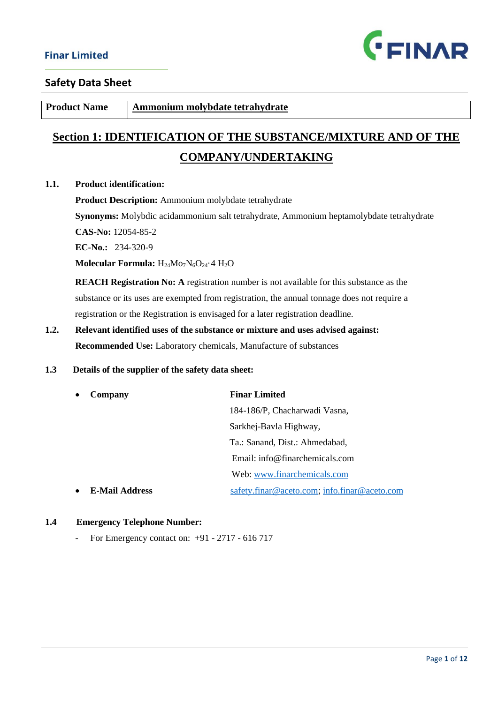

**Product Name** Ammonium molybdate tetrahydrate

# **Section 1: IDENTIFICATION OF THE SUBSTANCE/MIXTURE AND OF THE COMPANY/UNDERTAKING**

#### **1.1. Product identification:**

**Product Description:** Ammonium molybdate tetrahydrate

**Synonyms:** Molybdic acidammonium salt tetrahydrate, Ammonium heptamolybdate tetrahydrate

**CAS-No:** 12054-85-2

**EC-No.:** 234-320-9

Molecular Formula: H<sub>24</sub>Mo<sub>7</sub>N<sub>6</sub>O<sub>24</sub>.4 H<sub>2</sub>O

 **REACH Registration No: A** registration number is not available for this substance as the substance or its uses are exempted from registration, the annual tonnage does not require a registration or the Registration is envisaged for a later registration deadline.

**1.2. Relevant identified uses of the substance or mixture and uses advised against: Recommended Use:** Laboratory chemicals, Manufacture of substances

### **1.3 Details of the supplier of the safety data sheet:**

| Company               | <b>Finar Limited</b>                         |
|-----------------------|----------------------------------------------|
|                       | 184-186/P, Chacharwadi Vasna,                |
|                       | Sarkhej-Bavla Highway,                       |
|                       | Ta.: Sanand, Dist.: Ahmedabad,               |
|                       | Email: $info@finarchemicals.com$             |
|                       | Web: www.finarchemicals.com                  |
| <b>E-Mail Address</b> | safety.finar@aceto.com; info.finar@aceto.com |

#### **1.4 Emergency Telephone Number:**

- For Emergency contact on: +91 - 2717 - 616 717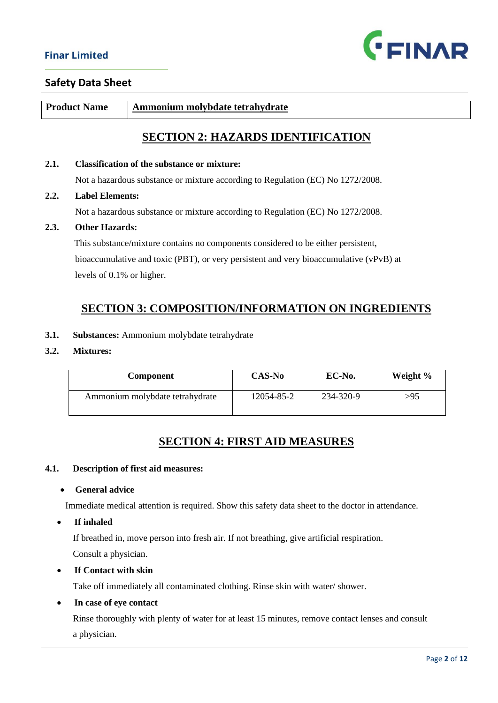

**Product Name** Ammonium molybdate tetrahydrate

# **SECTION 2: HAZARDS IDENTIFICATION**

#### **2.1. Classification of the substance or mixture:**

Not a hazardous substance or mixture according to Regulation (EC) No 1272/2008.

#### **2.2. Label Elements:**

Not a hazardous substance or mixture according to Regulation (EC) No 1272/2008.

#### **2.3. Other Hazards:**

 This substance/mixture contains no components considered to be either persistent, bioaccumulative and toxic (PBT), or very persistent and very bioaccumulative (vPvB) at levels of 0.1% or higher.

# **SECTION 3: COMPOSITION/INFORMATION ON INGREDIENTS**

- **3.1. Substances:** Ammonium molybdate tetrahydrate
- **3.2. Mixtures:**

| <b>Component</b>                | <b>CAS-No</b> | EC-No.    | Weight % |
|---------------------------------|---------------|-----------|----------|
| Ammonium molybdate tetrahydrate | 12054-85-2    | 234-320-9 | >95      |

## **SECTION 4: FIRST AID MEASURES**

#### **4.1. Description of first aid measures:**

• **General advice**

Immediate medical attention is required. Show this safety data sheet to the doctor in attendance.

• **If inhaled**

If breathed in, move person into fresh air. If not breathing, give artificial respiration.

Consult a physician.

#### • **If Contact with skin**

Take off immediately all contaminated clothing. Rinse skin with water/ shower.

• **In case of eye contact**

 Rinse thoroughly with plenty of water for at least 15 minutes, remove contact lenses and consult a physician.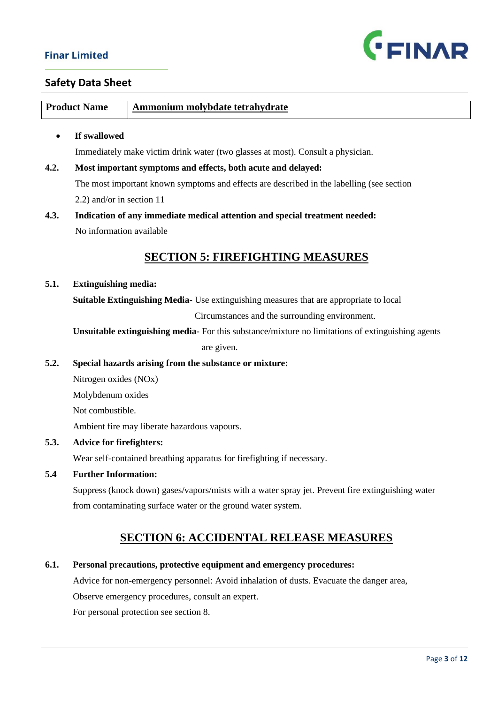

### **Safety Data Sheet**

| <b>Product Name</b> | Ammonium molybdate tetrahydrate |
|---------------------|---------------------------------|
|                     |                                 |
|                     |                                 |
|                     |                                 |

#### • **If swallowed**

Immediately make victim drink water (two glasses at most). Consult a physician.

**4.2. Most important symptoms and effects, both acute and delayed:** The most important known symptoms and effects are described in the labelling (see section 2.2) and/or in section 11

# **4.3. Indication of any immediate medical attention and special treatment needed:** No information available

# **SECTION 5: FIREFIGHTING MEASURES**

#### **5.1. Extinguishing media:**

 **Suitable Extinguishing Media-** Use extinguishing measures that are appropriate to local

Circumstances and the surrounding environment.

 **Unsuitable extinguishing media-** For this substance/mixture no limitations of extinguishing agents are given.

#### **5.2. Special hazards arising from the substance or mixture:**

Nitrogen oxides (NOx)

Molybdenum oxides

Not combustible.

Ambient fire may liberate hazardous vapours.

#### **5.3. Advice for firefighters:**

Wear self-contained breathing apparatus for firefighting if necessary.

#### **5.4 Further Information:**

 Suppress (knock down) gases/vapors/mists with a water spray jet. Prevent fire extinguishing water from contaminating surface water or the ground water system.

## **SECTION 6: ACCIDENTAL RELEASE MEASURES**

#### **6.1. Personal precautions, protective equipment and emergency procedures:**

Advice for non-emergency personnel: Avoid inhalation of dusts. Evacuate the danger area,

Observe emergency procedures, consult an expert.

For personal protection see section 8.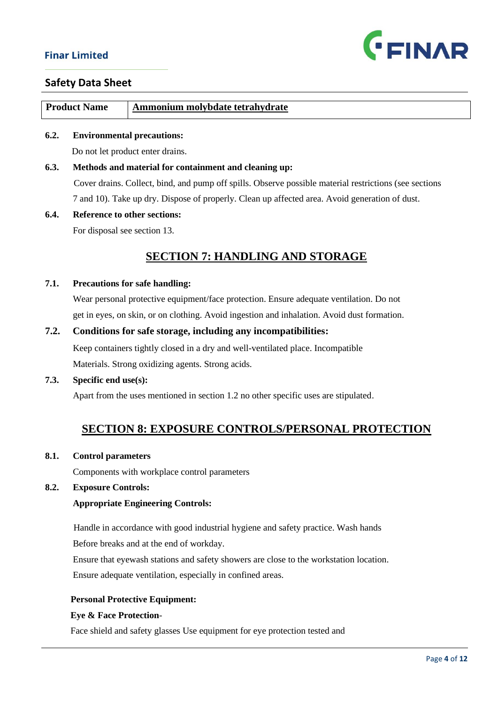

| <b>Product Name</b> | Ammonium molybdate tetrahydrate |
|---------------------|---------------------------------|
|                     |                                 |

#### **6.2. Environmental precautions:**

Do not let product enter drains.

# **6.3. Methods and material for containment and cleaning up:** Cover drains. Collect, bind, and pump off spills. Observe possible material restrictions (see sections 7 and 10). Take up dry. Dispose of properly. Clean up affected area. Avoid generation of dust.

### **6.4. Reference to other sections:**

For disposal see section 13.

# **SECTION 7: HANDLING AND STORAGE**

#### **7.1. Precautions for safe handling:**

 Wear personal protective equipment/face protection. Ensure adequate ventilation. Do not get in eyes, on skin, or on clothing. Avoid ingestion and inhalation. Avoid dust formation.

#### **7.2. Conditions for safe storage, including any incompatibilities:**

 Keep containers tightly closed in a dry and well-ventilated place. Incompatible Materials. Strong oxidizing agents. Strong acids.

#### **7.3. Specific end use(s):**

Apart from the uses mentioned in section 1.2 no other specific uses are stipulated.

# **SECTION 8: EXPOSURE CONTROLS/PERSONAL PROTECTION**

#### **8.1. Control parameters**

Components with workplace control parameters

#### **8.2. Exposure Controls:**

#### **Appropriate Engineering Controls:**

 Handle in accordance with good industrial hygiene and safety practice. Wash hands Before breaks and at the end of workday.

Ensure that eyewash stations and safety showers are close to the workstation location.

Ensure adequate ventilation, especially in confined areas.

#### **Personal Protective Equipment:**

#### **Eye & Face Protection**-

Face shield and safety glasses Use equipment for eye protection tested and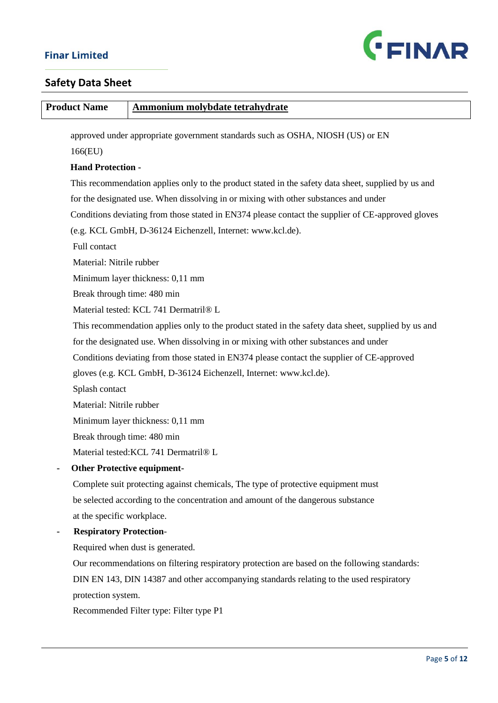

| <b>Product Name</b>                                                            | <b>Ammonium molybdate tetrahydrate</b>                                                              |
|--------------------------------------------------------------------------------|-----------------------------------------------------------------------------------------------------|
| approved under appropriate government standards such as OSHA, NIOSH (US) or EN |                                                                                                     |
| 166(EU)                                                                        |                                                                                                     |
| <b>Hand Protection -</b>                                                       |                                                                                                     |
|                                                                                | This recommendation applies only to the product stated in the safety data sheet, supplied by us and |
|                                                                                | for the designated use. When dissolving in or mixing with other substances and under                |
|                                                                                | Conditions deviating from those stated in EN374 please contact the supplier of CE-approved gloves   |
|                                                                                | (e.g. KCL GmbH, D-36124 Eichenzell, Internet: www.kcl.de).                                          |
| Full contact                                                                   |                                                                                                     |
| Material: Nitrile rubber                                                       |                                                                                                     |
|                                                                                | Minimum layer thickness: 0,11 mm                                                                    |
| Break through time: 480 min                                                    |                                                                                                     |
|                                                                                | Material tested: KCL 741 Dermatril® L                                                               |
|                                                                                | This recommendation applies only to the product stated in the safety data sheet, supplied by us and |
|                                                                                | for the designated use. When dissolving in or mixing with other substances and under                |
|                                                                                | Conditions deviating from those stated in EN374 please contact the supplier of CE-approved          |
|                                                                                | gloves (e.g. KCL GmbH, D-36124 Eichenzell, Internet: www.kcl.de).                                   |
| Splash contact                                                                 |                                                                                                     |
| Material: Nitrile rubber                                                       |                                                                                                     |
|                                                                                | Minimum layer thickness: 0,11 mm                                                                    |
| Break through time: 480 min                                                    |                                                                                                     |
|                                                                                | Material tested: KCL 741 Dermatril® L                                                               |
| <b>Other Protective equipment-</b>                                             |                                                                                                     |
|                                                                                | Complete suit protecting against chemicals, The type of protective equipment must                   |
|                                                                                | be selected according to the concentration and amount of the dangerous substance                    |
| at the specific workplace.                                                     |                                                                                                     |
| <b>Respiratory Protection-</b>                                                 |                                                                                                     |
|                                                                                | Required when dust is generated.                                                                    |
|                                                                                | Our recommendations on filtering respiratory protection are based on the following standards:       |
|                                                                                | DIN EN 143, DIN 14387 and other accompanying standards relating to the used respiratory             |
| protection system.                                                             |                                                                                                     |
|                                                                                | Recommended Filter type: Filter type P1                                                             |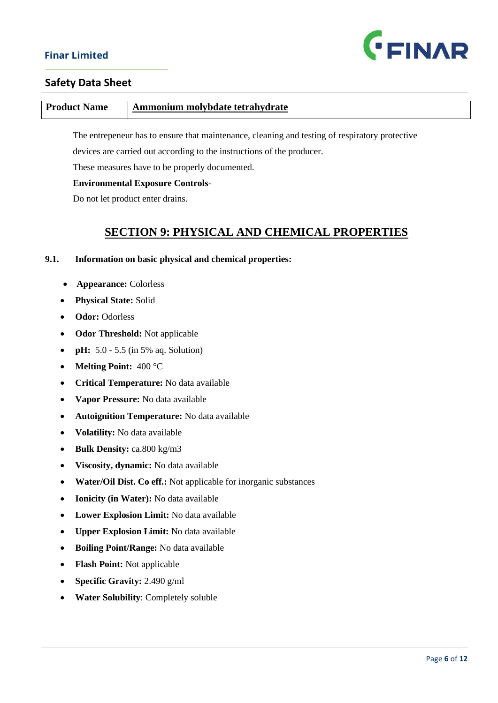

### **Safety Data Sheet**

#### **Product Name** Ammonium molybdate tetrahydrate

The entrepeneur has to ensure that maintenance, cleaning and testing of respiratory protective

devices are carried out according to the instructions of the producer.

These measures have to be properly documented.

#### **Environmental Exposure Controls**-

Do not let product enter drains.

# **SECTION 9: PHYSICAL AND CHEMICAL PROPERTIES**

#### **9.1. Information on basic physical and chemical properties:**

- • **Appearance:** Colorless
- **Physical State:** Solid
- **Odor:** Odorless
- **Odor Threshold:** Not applicable
- **pH:** 5.0 5.5 (in 5% aq. Solution)
- **Melting Point:** 400 °C
- **Critical Temperature:** No data available
- **Vapor Pressure:** No data available
- **Autoignition Temperature:** No data available
- **Volatility:** No data available
- **Bulk Density:** ca.800 kg/m3
- **Viscosity, dynamic:** No data available
- **Water/Oil Dist. Co eff.:** Not applicable for inorganic substances
- **Ionicity (in Water):** No data available
- **Lower Explosion Limit:** No data available
- **Upper Explosion Limit:** No data available
- **Boiling Point/Range:** No data available
- **Flash Point:** Not applicable
- **Specific Gravity:** 2.490 g/ml
- **Water Solubility**: Completely soluble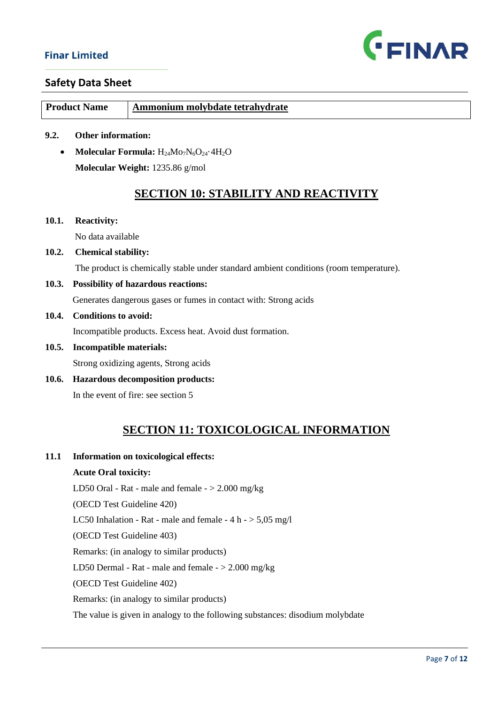

### **Safety Data Sheet**

| <b>Product Name</b> | Ammonium molybdate tetrahydrate |
|---------------------|---------------------------------|
|                     |                                 |

- **9.2. Other information:** 
	- **Molecular Formula:** H<sub>24</sub>Mo<sub>7</sub>N<sub>6</sub>O<sub>24</sub>.4H<sub>2</sub>O **Molecular Weight:** 1235.86 g/mol

# **SECTION 10: STABILITY AND REACTIVITY**

**10.1. Reactivity:** 

No data available

**10.2. Chemical stability:** 

The product is chemically stable under standard ambient conditions (room temperature).

**10.3. Possibility of hazardous reactions:**

Generates dangerous gases or fumes in contact with: Strong acids

**10.4. Conditions to avoid:**

Incompatible products. Excess heat. Avoid dust formation.

**10.5. Incompatible materials:**

Strong oxidizing agents, Strong acids

**10.6. Hazardous decomposition products:**

In the event of fire: see section 5

# **SECTION 11: TOXICOLOGICAL INFORMATION**

**11.1 Information on toxicological effects:**

#### **Acute Oral toxicity:**

LD50 Oral - Rat - male and female  $-$  > 2.000 mg/kg

(OECD Test Guideline 420)

LC50 Inhalation - Rat - male and female -  $4 h - 5,05 mg/l$ 

(OECD Test Guideline 403)

Remarks: (in analogy to similar products)

LD50 Dermal - Rat - male and female - > 2.000 mg/kg

(OECD Test Guideline 402)

Remarks: (in analogy to similar products)

The value is given in analogy to the following substances: disodium molybdate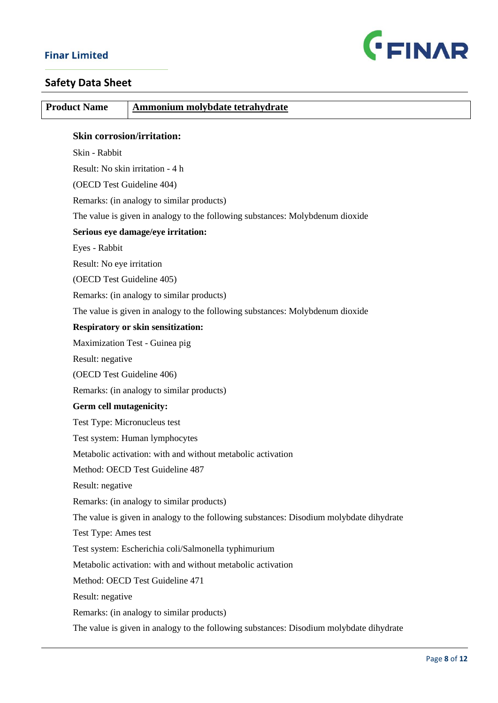

| <b>Product Name</b>            | <b>Ammonium molybdate tetrahydrate</b>                                                  |
|--------------------------------|-----------------------------------------------------------------------------------------|
|                                | <b>Skin corrosion/irritation:</b>                                                       |
| Skin - Rabbit                  |                                                                                         |
|                                | Result: No skin irritation - 4 h                                                        |
|                                | (OECD Test Guideline 404)                                                               |
|                                | Remarks: (in analogy to similar products)                                               |
|                                | The value is given in analogy to the following substances: Molybdenum dioxide           |
|                                | Serious eye damage/eye irritation:                                                      |
| Eyes - Rabbit                  |                                                                                         |
| Result: No eye irritation      |                                                                                         |
|                                | (OECD Test Guideline 405)                                                               |
|                                | Remarks: (in analogy to similar products)                                               |
|                                | The value is given in analogy to the following substances: Molybdenum dioxide           |
|                                | <b>Respiratory or skin sensitization:</b>                                               |
|                                | Maximization Test - Guinea pig                                                          |
| Result: negative               |                                                                                         |
|                                | (OECD Test Guideline 406)                                                               |
|                                | Remarks: (in analogy to similar products)                                               |
| <b>Germ cell mutagenicity:</b> |                                                                                         |
|                                | Test Type: Micronucleus test                                                            |
|                                | Test system: Human lymphocytes                                                          |
|                                | Metabolic activation: with and without metabolic activation                             |
|                                | Method: OECD Test Guideline 487                                                         |
| Result: negative               |                                                                                         |
|                                | Remarks: (in analogy to similar products)                                               |
|                                | The value is given in analogy to the following substances: Disodium molybdate dihydrate |
| Test Type: Ames test           |                                                                                         |
|                                | Test system: Escherichia coli/Salmonella typhimurium                                    |
|                                | Metabolic activation: with and without metabolic activation                             |
|                                | Method: OECD Test Guideline 471                                                         |
| Result: negative               |                                                                                         |
|                                | Remarks: (in analogy to similar products)                                               |
|                                | The value is given in analogy to the following substances: Disodium molybdate dihydrate |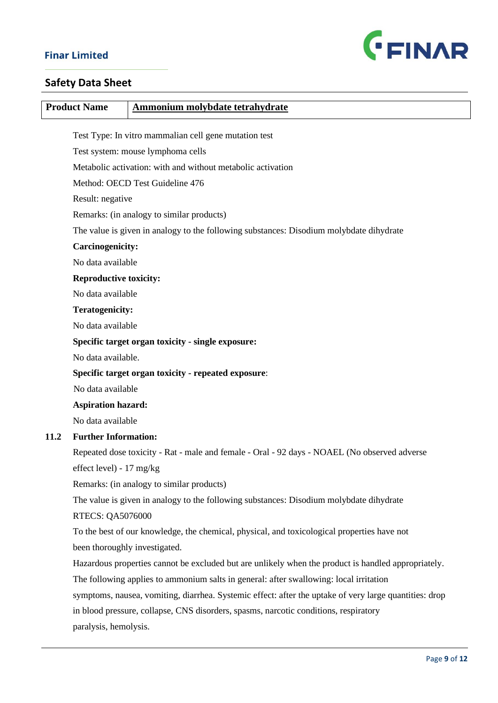

# **Safety Data Sheet**

| <b>Product Name</b>                                 | Ammonium molybdate tetrahydrate                                                                        |  |
|-----------------------------------------------------|--------------------------------------------------------------------------------------------------------|--|
|                                                     |                                                                                                        |  |
|                                                     | Test Type: In vitro mammalian cell gene mutation test                                                  |  |
|                                                     | Test system: mouse lymphoma cells<br>Metabolic activation: with and without metabolic activation       |  |
|                                                     |                                                                                                        |  |
|                                                     | Method: OECD Test Guideline 476                                                                        |  |
|                                                     | Result: negative                                                                                       |  |
|                                                     | Remarks: (in analogy to similar products)                                                              |  |
|                                                     | The value is given in analogy to the following substances: Disodium molybdate dihydrate                |  |
| Carcinogenicity:                                    |                                                                                                        |  |
| No data available                                   |                                                                                                        |  |
| <b>Reproductive toxicity:</b>                       |                                                                                                        |  |
| No data available                                   |                                                                                                        |  |
| <b>Teratogenicity:</b>                              |                                                                                                        |  |
| No data available                                   |                                                                                                        |  |
|                                                     | Specific target organ toxicity - single exposure:                                                      |  |
|                                                     | No data available.                                                                                     |  |
| Specific target organ toxicity - repeated exposure: |                                                                                                        |  |
| No data available                                   |                                                                                                        |  |
| <b>Aspiration hazard:</b>                           |                                                                                                        |  |
| No data available                                   |                                                                                                        |  |
| <b>Further Information:</b><br>11.2                 |                                                                                                        |  |
|                                                     | Repeated dose toxicity - Rat - male and female - Oral - 92 days - NOAEL (No observed adverse           |  |
| effect level) - $17 \text{ mg/kg}$                  |                                                                                                        |  |
|                                                     | Remarks: (in analogy to similar products)                                                              |  |
|                                                     | The value is given in analogy to the following substances: Disodium molybdate dihydrate                |  |
| <b>RTECS: QA5076000</b>                             |                                                                                                        |  |
|                                                     | To the best of our knowledge, the chemical, physical, and toxicological properties have not            |  |
|                                                     | been thoroughly investigated.                                                                          |  |
|                                                     | Hazardous properties cannot be excluded but are unlikely when the product is handled appropriately.    |  |
|                                                     | The following applies to ammonium salts in general: after swallowing: local irritation                 |  |
|                                                     | symptoms, nausea, vomiting, diarrhea. Systemic effect: after the uptake of very large quantities: drop |  |
|                                                     | in blood pressure, collapse, CNS disorders, spasms, narcotic conditions, respiratory                   |  |
| paralysis, hemolysis.                               |                                                                                                        |  |
|                                                     |                                                                                                        |  |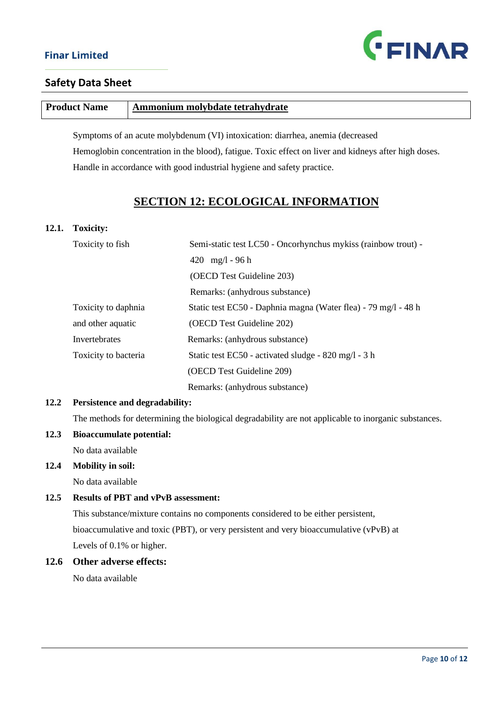

| <b>Product Name</b> | Ammonium molybdate tetrahydrate |
|---------------------|---------------------------------|

 Symptoms of an acute molybdenum (VI) intoxication: diarrhea, anemia (decreased Hemoglobin concentration in the blood), fatigue. Toxic effect on liver and kidneys after high doses. Handle in accordance with good industrial hygiene and safety practice.

# **SECTION 12: ECOLOGICAL INFORMATION**

#### **12.1. Toxicity:**

| Toxicity to fish     | Semi-static test LC50 - Oncorhynchus mykiss (rainbow trout) -  |  |
|----------------------|----------------------------------------------------------------|--|
|                      | 420 $mg/l - 96 h$                                              |  |
|                      | (OECD Test Guideline 203)                                      |  |
|                      | Remarks: (anhydrous substance)                                 |  |
| Toxicity to daphnia  | Static test EC50 - Daphnia magna (Water flea) - 79 mg/l - 48 h |  |
| and other aquatic    | (OECD Test Guideline 202)                                      |  |
| Invertebrates        | Remarks: (anhydrous substance)                                 |  |
| Toxicity to bacteria | Static test EC50 - activated sludge - 820 mg/l - 3 h           |  |
|                      | (OECD Test Guideline 209)                                      |  |
|                      | Remarks: (anhydrous substance)                                 |  |

#### **12.2 Persistence and degradability:**

The methods for determining the biological degradability are not applicable to inorganic substances.

#### **12.3 Bioaccumulate potential:**

No data available

#### **12.4 Mobility in soil:**

No data available

#### **12.5 Results of PBT and vPvB assessment:**

 This substance/mixture contains no components considered to be either persistent, bioaccumulative and toxic (PBT), or very persistent and very bioaccumulative (vPvB) at Levels of 0.1% or higher.

#### **12.6 Other adverse effects:**

No data available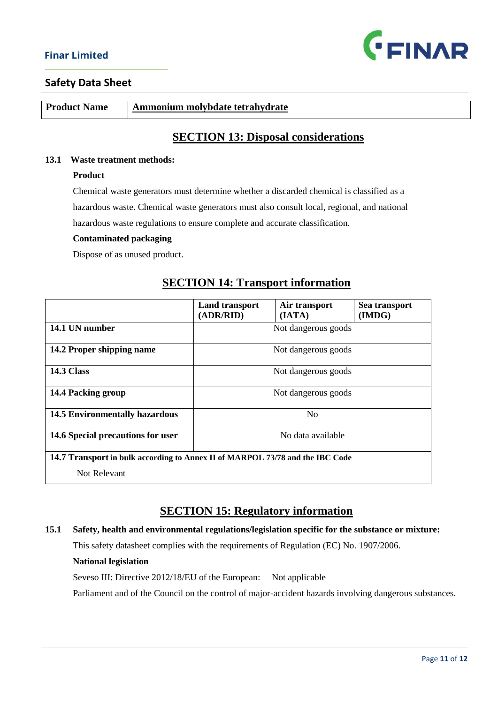

**Product Name Ammonium molybdate tetrahydrate** 

# **SECTION 13: Disposal considerations**

#### **13.1 Waste treatment methods:**

#### **Product**

 Chemical waste generators must determine whether a discarded chemical is classified as a hazardous waste. Chemical waste generators must also consult local, regional, and national hazardous waste regulations to ensure complete and accurate classification.

#### **Contaminated packaging**

Dispose of as unused product.

|                                                                               | <b>Land transport</b><br>(ADR/RID) | Air transport<br>(IATA) | Sea transport<br>(IMDG) |
|-------------------------------------------------------------------------------|------------------------------------|-------------------------|-------------------------|
| 14.1 UN number                                                                |                                    | Not dangerous goods     |                         |
| 14.2 Proper shipping name                                                     |                                    | Not dangerous goods     |                         |
| <b>14.3 Class</b>                                                             |                                    | Not dangerous goods     |                         |
| 14.4 Packing group                                                            |                                    | Not dangerous goods     |                         |
| <b>14.5 Environmentally hazardous</b>                                         |                                    | N <sub>0</sub>          |                         |
| 14.6 Special precautions for user                                             |                                    | No data available       |                         |
| 14.7 Transport in bulk according to Annex II of MARPOL 73/78 and the IBC Code |                                    |                         |                         |
| Not Relevant                                                                  |                                    |                         |                         |

## **SECTION 14: Transport information**

# **SECTION 15: Regulatory information**

#### **15.1 Safety, health and environmental regulations/legislation specific for the substance or mixture:**

This safety datasheet complies with the requirements of Regulation (EC) No. 1907/2006.

#### **National legislation**

Seveso III: Directive 2012/18/EU of the European: Not applicable

Parliament and of the Council on the control of major-accident hazards involving dangerous substances.